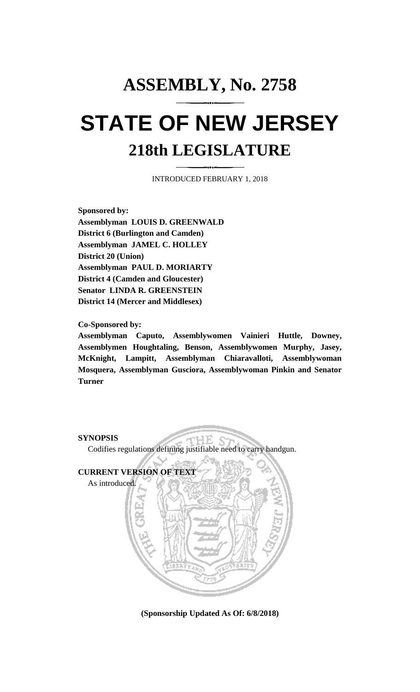## **ASSEMBLY, No. 2758 STATE OF NEW JERSEY 218th LEGISLATURE**

INTRODUCED FEBRUARY 1, 2018

**Sponsored by: Assemblyman LOUIS D. GREENWALD District 6 (Burlington and Camden) Assemblyman JAMEL C. HOLLEY District 20 (Union) Assemblyman PAUL D. MORIARTY District 4 (Camden and Gloucester) Senator LINDA R. GREENSTEIN District 14 (Mercer and Middlesex)**

**Co-Sponsored by:**

**Assemblyman Caputo, Assemblywomen Vainieri Huttle, Downey, Assemblymen Houghtaling, Benson, Assemblywomen Murphy, Jasey, McKnight, Lampitt, Assemblyman Chiaravalloti, Assemblywoman Mosquera, Assemblyman Gusciora, Assemblywoman Pinkin and Senator Turner**

**SYNOPSIS**

Codifies regulations defining justifiable need to carry handgun.

HЕ.



**(Sponsorship Updated As Of: 6/8/2018)**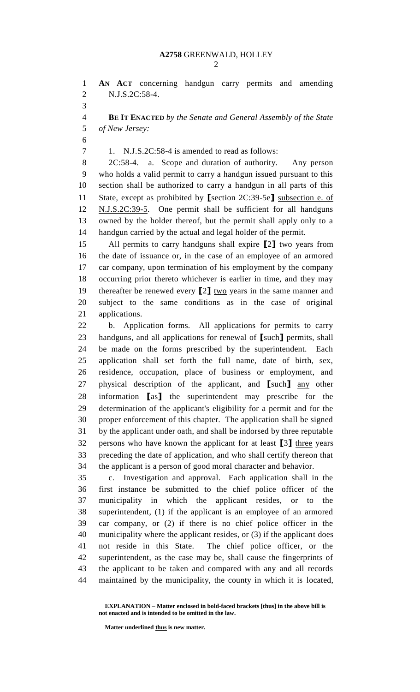**AN ACT** concerning handgun carry permits and amending N.J.S.2C:58-4.

 **BE IT ENACTED** *by the Senate and General Assembly of the State of New Jersey:*

1. N.J.S.2C:58-4 is amended to read as follows:

 2C:58-4. a. Scope and duration of authority. Any person who holds a valid permit to carry a handgun issued pursuant to this section shall be authorized to carry a handgun in all parts of this State, except as prohibited by **[**section 2C:39-5e**]** subsection e. of N.J.S.2C:39-5. One permit shall be sufficient for all handguns owned by the holder thereof, but the permit shall apply only to a handgun carried by the actual and legal holder of the permit.

 All permits to carry handguns shall expire **[**2**]** two years from the date of issuance or, in the case of an employee of an armored car company, upon termination of his employment by the company occurring prior thereto whichever is earlier in time, and they may thereafter be renewed every **[**2**]** two years in the same manner and subject to the same conditions as in the case of original applications.

 b. Application forms. All applications for permits to carry handguns, and all applications for renewal of **[**such**]** permits, shall be made on the forms prescribed by the superintendent. Each application shall set forth the full name, date of birth, sex, residence, occupation, place of business or employment, and physical description of the applicant, and **[**such**]** any other information **[**as**]** the superintendent may prescribe for the determination of the applicant's eligibility for a permit and for the proper enforcement of this chapter. The application shall be signed by the applicant under oath, and shall be indorsed by three reputable persons who have known the applicant for at least **[**3**]** three years preceding the date of application, and who shall certify thereon that the applicant is a person of good moral character and behavior.

 c. Investigation and approval. Each application shall in the first instance be submitted to the chief police officer of the municipality in which the applicant resides, or to the superintendent, (1) if the applicant is an employee of an armored car company, or (2) if there is no chief police officer in the municipality where the applicant resides, or (3) if the applicant does not reside in this State. The chief police officer, or the superintendent, as the case may be, shall cause the fingerprints of the applicant to be taken and compared with any and all records maintained by the municipality, the county in which it is located,

**Matter underlined thus is new matter.**

**EXPLANATION – Matter enclosed in bold-faced brackets [thus] in the above bill is not enacted and is intended to be omitted in the law.**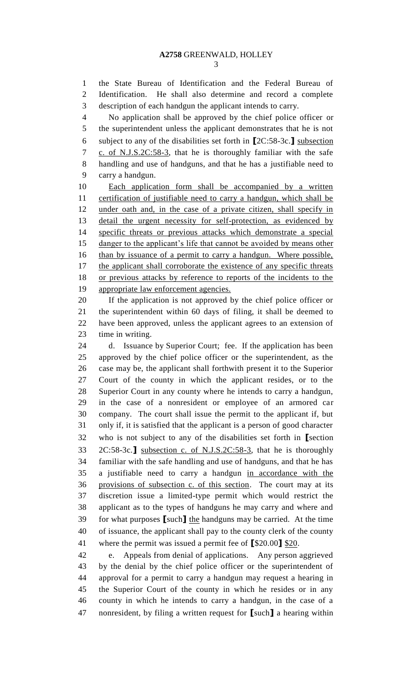the State Bureau of Identification and the Federal Bureau of Identification. He shall also determine and record a complete description of each handgun the applicant intends to carry.

 No application shall be approved by the chief police officer or the superintendent unless the applicant demonstrates that he is not subject to any of the disabilities set forth in **[**2C:58-3c.**]** subsection c. of N.J.S.2C:58-3, that he is thoroughly familiar with the safe handling and use of handguns, and that he has a justifiable need to carry a handgun.

 Each application form shall be accompanied by a written 11 certification of justifiable need to carry a handgun, which shall be under oath and, in the case of a private citizen, shall specify in detail the urgent necessity for self-protection, as evidenced by specific threats or previous attacks which demonstrate a special danger to the applicant's life that cannot be avoided by means other than by issuance of a permit to carry a handgun. Where possible, 17 the applicant shall corroborate the existence of any specific threats or previous attacks by reference to reports of the incidents to the appropriate law enforcement agencies.

 If the application is not approved by the chief police officer or the superintendent within 60 days of filing, it shall be deemed to have been approved, unless the applicant agrees to an extension of time in writing.

 d. Issuance by Superior Court; fee. If the application has been approved by the chief police officer or the superintendent, as the case may be, the applicant shall forthwith present it to the Superior Court of the county in which the applicant resides, or to the Superior Court in any county where he intends to carry a handgun, in the case of a nonresident or employee of an armored car company. The court shall issue the permit to the applicant if, but only if, it is satisfied that the applicant is a person of good character who is not subject to any of the disabilities set forth in **[**section 2C:58-3c.**]** subsection c. of N.J.S.2C:58-3, that he is thoroughly familiar with the safe handling and use of handguns, and that he has a justifiable need to carry a handgun in accordance with the provisions of subsection c. of this section. The court may at its discretion issue a limited-type permit which would restrict the applicant as to the types of handguns he may carry and where and for what purposes **[**such**]** the handguns may be carried. At the time of issuance, the applicant shall pay to the county clerk of the county where the permit was issued a permit fee of **[**\$20.00**]** \$20.

 e. Appeals from denial of applications. Any person aggrieved by the denial by the chief police officer or the superintendent of approval for a permit to carry a handgun may request a hearing in the Superior Court of the county in which he resides or in any county in which he intends to carry a handgun, in the case of a nonresident, by filing a written request for **[**such**]** a hearing within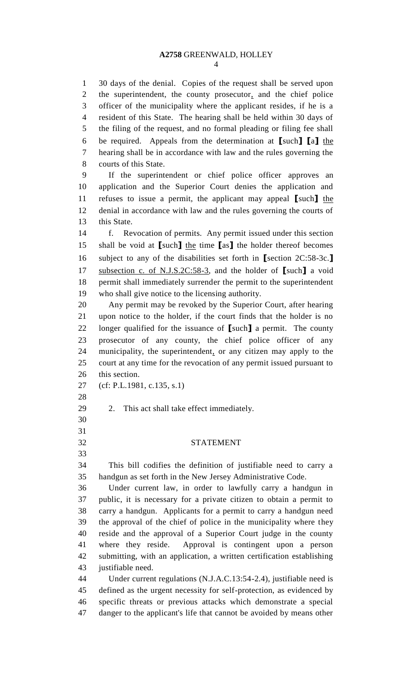## **A2758** GREENWALD, HOLLEY

 30 days of the denial. Copies of the request shall be served upon the superintendent, the county prosecutor, and the chief police officer of the municipality where the applicant resides, if he is a resident of this State. The hearing shall be held within 30 days of the filing of the request, and no formal pleading or filing fee shall be required. Appeals from the determination at **[**such**] [**a**]** the hearing shall be in accordance with law and the rules governing the courts of this State.

 If the superintendent or chief police officer approves an application and the Superior Court denies the application and refuses to issue a permit, the applicant may appeal **[**such**]** the denial in accordance with law and the rules governing the courts of this State.

 f. Revocation of permits. Any permit issued under this section shall be void at **[**such**]** the time **[**as**]** the holder thereof becomes subject to any of the disabilities set forth in **[**section 2C:58-3c.**]** subsection c. of N.J.S.2C:58-3, and the holder of **[**such**]** a void permit shall immediately surrender the permit to the superintendent who shall give notice to the licensing authority.

 Any permit may be revoked by the Superior Court, after hearing upon notice to the holder, if the court finds that the holder is no longer qualified for the issuance of **[**such**]** a permit. The county prosecutor of any county, the chief police officer of any municipality, the superintendent, or any citizen may apply to the court at any time for the revocation of any permit issued pursuant to this section.

(cf: P.L.1981, c.135, s.1)

- 
- 2. This act shall take effect immediately.
- 
- 
- STATEMENT

 This bill codifies the definition of justifiable need to carry a handgun as set forth in the New Jersey Administrative Code.

 Under current law, in order to lawfully carry a handgun in public, it is necessary for a private citizen to obtain a permit to carry a handgun. Applicants for a permit to carry a handgun need the approval of the chief of police in the municipality where they reside and the approval of a Superior Court judge in the county where they reside. Approval is contingent upon a person submitting, with an application, a written certification establishing justifiable need.

 Under current regulations (N.J.A.C.13:54-2.4), justifiable need is defined as the urgent necessity for self-protection, as evidenced by specific threats or previous attacks which demonstrate a special danger to the applicant's life that cannot be avoided by means other